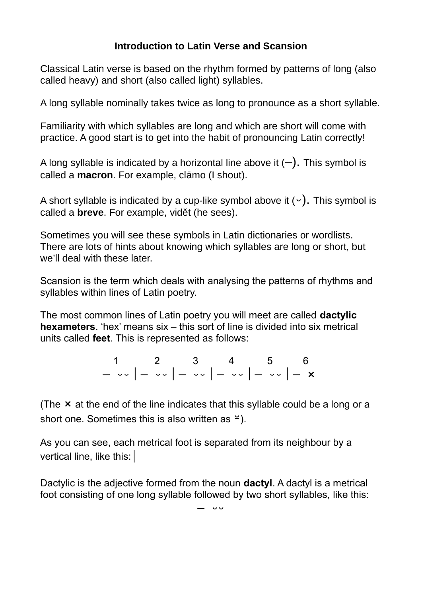## **Introduction to Latin Verse and Scansion**

Classical Latin verse is based on the rhythm formed by patterns of long (also called heavy) and short (also called light) syllables.

A long syllable nominally takes twice as long to pronounce as a short syllable.

Familiarity with which syllables are long and which are short will come with practice. A good start is to get into the habit of pronouncing Latin correctly!

A long syllable is indicated by a horizontal line above it  $(-)$ . This symbol is called a **macron**. For example, clāmo (I shout).

A short syllable is indicated by a cup-like symbol above it  $(\cdot)$ . This symbol is called a **breve**. For example, vidět (he sees).

Sometimes you will see these symbols in Latin dictionaries or wordlists. There are lots of hints about knowing which syllables are long or short, but we'll deal with these later.

Scansion is the term which deals with analysing the patterns of rhythms and syllables within lines of Latin poetry.

The most common lines of Latin poetry you will meet are called **dactylic hexameters**. 'hex' means six – this sort of line is divided into six metrical units called **feet**. This is represented as follows:

> 1 2 3 4 5 6 –  $\circ\circ$   $\mid$   $\circ\circ$   $\mid$   $\circ\circ$   $\mid$   $\cdot\circ$   $\mid$   $\cdot\circ$   $\mid$   $\cdot\circ$

(The  $\times$  at the end of the line indicates that this syllable could be a long or a short one. Sometimes this is also written as  $\leq$ ).

As you can see, each metrical foot is separated from its neighbour by a vertical line, like this:

Dactylic is the adjective formed from the noun **dactyl**. A dactyl is a metrical foot consisting of one long syllable followed by two short syllables, like this:

 $-$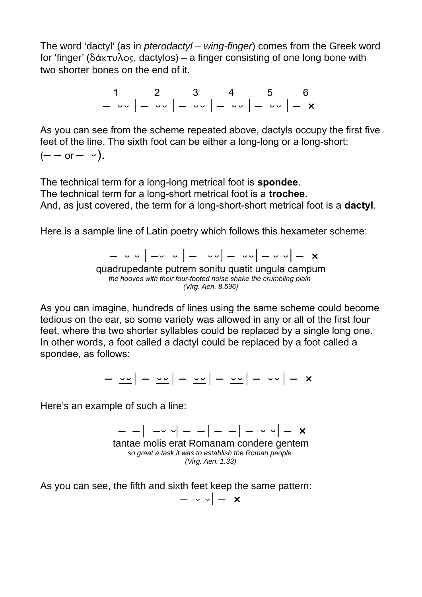The word 'dactyl' (as in *pterodactyl – wing-finger*) comes from the Greek word for 'finger' (δάκτυλος, dactylos) – a finger consisting of one long bone with two shorter bones on the end of it.

> 1 2 3 4 5 6 –  $\circ\circ$   $\mid$   $\circ\circ$   $\mid$   $\circ\circ$   $\mid$   $\cdot\circ$   $\mid$   $\cdot\circ$   $\mid$   $\cdot\circ$

As you can see from the scheme repeated above, dactyls occupy the first five feet of the line. The sixth foot can be either a long-long or a long-short:  $(- - or - \cdot)$ .

The technical term for a long-long metrical foot is **spondee**. The technical term for a long-short metrical foot is a **trochee**. And, as just covered, the term for a long-short-short metrical foot is a **dactyl**.

Here is a sample line of Latin poetry which follows this hexameter scheme:

 $(1 - 3 - 4) - 3 - 4 = 0$   $(1 - 3 - 4) - 4 = 0$   $(1 - 3 - 4) - 4 = 0$ quadrupedante putrem sonitu quatit ungula campum *the hooves with their four-footed noise shake the crumbling plain (Virg. Aen. 8.596)*

As you can imagine, hundreds of lines using the same scheme could become tedious on the ear, so some variety was allowed in any or all of the first four feet, where the two shorter syllables could be replaced by a single long one. In other words, a foot called a dactyl could be replaced by a foot called a spondee, as follows:

 $\frac{1}{2}$   $\frac{1}{2}$  –  $\frac{1}{2}$   $\frac{1}{2}$  –  $\frac{1}{2}$  –  $\frac{1}{2}$  –  $\frac{1}{2}$  –  $\frac{1}{2}$  –  $\frac{1}{2}$  –  $\frac{1}{2}$  –  $\frac{1}{2}$   $\frac{1}{2}$  –  $\frac{1}{2}$   $\frac{1}{2}$   $\frac{1}{2}$   $\frac{1}{2}$   $\frac{1}{2}$   $\frac{1}{2}$   $\frac{1}{2}$   $\frac{1}{2}$ 

Here's an example of such a line:

 $|$   $\circ$   $\sqrt{}$   $|$   $|$   $|$   $|$   $\times$   $\sqrt{}$   $\times$ tantae molis erat Romanam condere gentem *so great a task it was to establish the Roman people (Virg. Aen. 1.33)*

As you can see, the fifth and sixth feet keep the same pattern:

 $\circ$   $\circ$   $\times$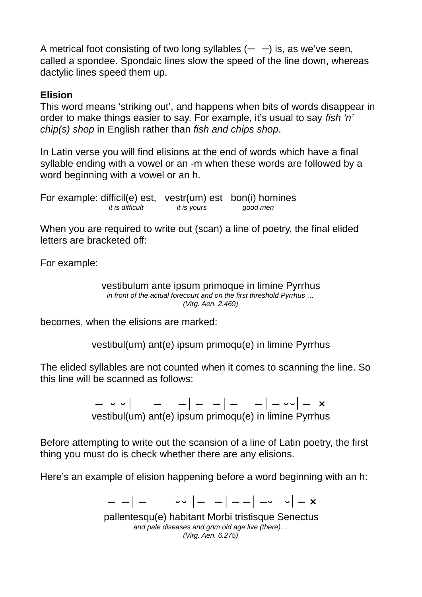A metrical foot consisting of two long syllables  $(- -)$  is, as we've seen, called a spondee. Spondaic lines slow the speed of the line down, whereas dactylic lines speed them up.

## **Elision**

This word means 'striking out', and happens when bits of words disappear in order to make things easier to say. For example, it's usual to say *fish 'n' chip(s) shop* in English rather than *fish and chips shop*.

In Latin verse you will find elisions at the end of words which have a final syllable ending with a vowel or an -m when these words are followed by a word beginning with a vowel or an h.

For example: difficil(e) est, vestr(um) est bon(i) homines<br>*it is difficult it is yours good men it is difficult* 

When you are required to write out (scan) a line of poetry, the final elided letters are bracketed off:

For example:

vestibulum ante ipsum primoque in limine Pyrrhus *in front of the actual forecourt and on the first threshold Pyrrhus … (Virg. Aen. 2.469)*

becomes, when the elisions are marked:

vestibul(um) ant(e) ipsum primoqu(e) in limine Pyrrhus

The elided syllables are not counted when it comes to scanning the line. So this line will be scanned as follows:

> $|$   $|$   $|$   $|$   $|$   $|$   $|$   $|$   $|$   $|$   $|$   $|$   $|$   $|$   $|$   $|$   $|$   $|$  vestibul(um) ant(e) ipsum primoqu(e) in limine Pyrrhus

Before attempting to write out the scansion of a line of Latin poetry, the first thing you must do is check whether there are any elisions.

Here's an example of elision happening before a word beginning with an h:

 $|$   $|$   $|$   $|$   $|$   $|$   $|$   $+$   $\sim$   $|$   $\times$ 

pallentesqu(e) habitant Morbi tristisque Senectus *and pale diseases and grim old age live (there)… (Virg. Aen. 6.275)*